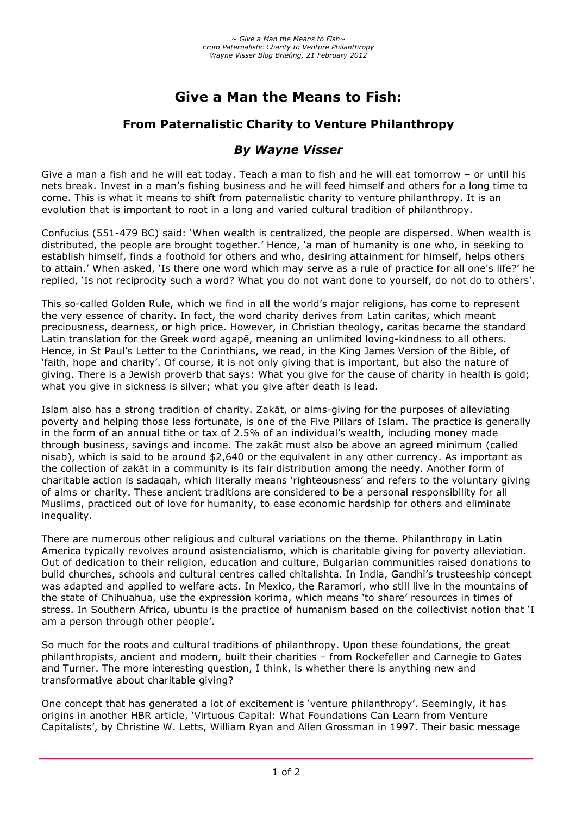# **Give a Man the Means to Fish:**

# **From Paternalistic Charity to Venture Philanthropy**

# *By Wayne Visser*

Give a man a fish and he will eat today. Teach a man to fish and he will eat tomorrow – or until his nets break. Invest in a man's fishing business and he will feed himself and others for a long time to come. This is what it means to shift from paternalistic charity to venture philanthropy. It is an evolution that is important to root in a long and varied cultural tradition of philanthropy.

Confucius (551-479 BC) said: 'When wealth is centralized, the people are dispersed. When wealth is distributed, the people are brought together.' Hence, 'a man of humanity is one who, in seeking to establish himself, finds a foothold for others and who, desiring attainment for himself, helps others to attain.' When asked, 'Is there one word which may serve as a rule of practice for all one's life?' he replied, 'Is not reciprocity such a word? What you do not want done to yourself, do not do to others'.

This so-called Golden Rule, which we find in all the world's major religions, has come to represent the very essence of charity. In fact, the word charity derives from Latin caritas, which meant preciousness, dearness, or high price. However, in Christian theology, caritas became the standard Latin translation for the Greek word agapē, meaning an unlimited loving-kindness to all others. Hence, in St Paul's Letter to the Corinthians, we read, in the King James Version of the Bible, of 'faith, hope and charity'. Of course, it is not only giving that is important, but also the nature of giving. There is a Jewish proverb that says: What you give for the cause of charity in health is gold; what you give in sickness is silver; what you give after death is lead.

Islam also has a strong tradition of charity. Zakāt, or alms-giving for the purposes of alleviating poverty and helping those less fortunate, is one of the Five Pillars of Islam. The practice is generally in the form of an annual tithe or tax of 2.5% of an individual's wealth, including money made through business, savings and income. The zakāt must also be above an agreed minimum (called nisab), which is said to be around \$2,640 or the equivalent in any other currency. As important as the collection of zakāt in a community is its fair distribution among the needy. Another form of charitable action is sadaqah, which literally means 'righteousness' and refers to the voluntary giving of alms or charity. These ancient traditions are considered to be a personal responsibility for all Muslims, practiced out of love for humanity, to ease economic hardship for others and eliminate inequality.

There are numerous other religious and cultural variations on the theme. Philanthropy in Latin America typically revolves around asistencialismo, which is charitable giving for poverty alleviation. Out of dedication to their religion, education and culture, Bulgarian communities raised donations to build churches, schools and cultural centres called chitalishta. In India, Gandhi's trusteeship concept was adapted and applied to welfare acts. In Mexico, the Raramori, who still live in the mountains of the state of Chihuahua, use the expression korima, which means 'to share' resources in times of stress. In Southern Africa, ubuntu is the practice of humanism based on the collectivist notion that 'I am a person through other people'.

So much for the roots and cultural traditions of philanthropy. Upon these foundations, the great philanthropists, ancient and modern, built their charities – from Rockefeller and Carnegie to Gates and Turner. The more interesting question, I think, is whether there is anything new and transformative about charitable giving?

One concept that has generated a lot of excitement is 'venture philanthropy'. Seemingly, it has origins in another HBR article, 'Virtuous Capital: What Foundations Can Learn from Venture Capitalists', by Christine W. Letts, William Ryan and Allen Grossman in 1997. Their basic message